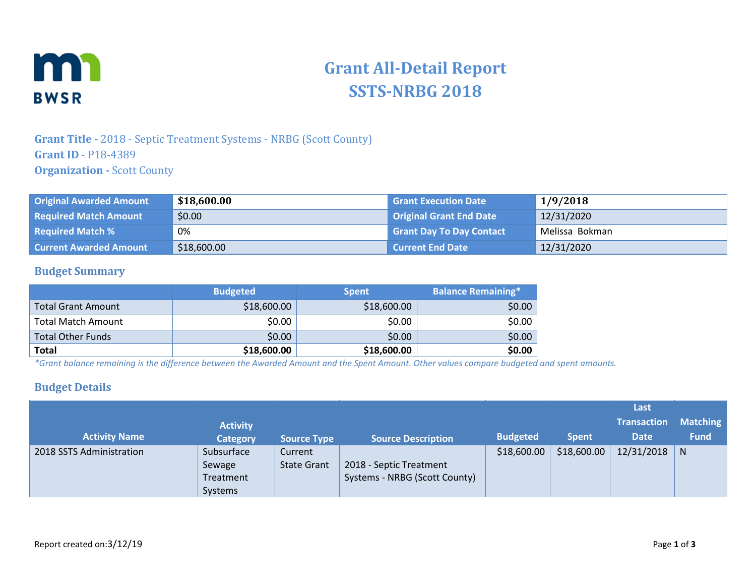

# **Grant All-Detail Report SSTS-NRBG 2018**

## **Grant Title -** 2018 - Septic Treatment Systems - NRBG (Scott County) **Grant ID** - P18-4389 **Organization - Scott County**

| <b>Original Awarded Amount</b> | \$18,600.00 | <b>Grant Execution Date</b>     | 1/9/2018       |
|--------------------------------|-------------|---------------------------------|----------------|
| <b>Required Match Amount</b>   | \$0.00      | Original Grant End Date         | 12/31/2020     |
| <b>Required Match %</b>        | 0%          | <b>Grant Day To Day Contact</b> | Melissa Bokman |
| <b>Current Awarded Amount</b>  | \$18,600.00 | Current End Date                | 12/31/2020     |

### **Budget Summary**

|                           | <b>Budgeted</b> | <b>Spent</b> | <b>Balance Remaining*</b> |
|---------------------------|-----------------|--------------|---------------------------|
| <b>Total Grant Amount</b> | \$18,600.00     | \$18,600.00  | \$0.00                    |
| <b>Total Match Amount</b> | \$0.00          | \$0.00       | \$0.00                    |
| <b>Total Other Funds</b>  | \$0.00          | \$0.00       | \$0.00                    |
| <b>Total</b>              | \$18,600.00     | \$18,600.00  | \$0.00                    |

*\*Grant balance remaining is the difference between the Awarded Amount and the Spent Amount. Other values compare budgeted and spent amounts.* 

### **Budget Details**

|                          |                                                     |                               |                                                          |                 |              | Last               |                 |
|--------------------------|-----------------------------------------------------|-------------------------------|----------------------------------------------------------|-----------------|--------------|--------------------|-----------------|
|                          | <b>Activity</b>                                     |                               |                                                          |                 |              | <b>Transaction</b> | <b>Matching</b> |
| <b>Activity Name</b>     | <b>Category</b>                                     | <b>Source Type</b>            | <b>Source Description</b>                                | <b>Budgeted</b> | <b>Spent</b> | <b>Date</b>        | <b>Fund</b>     |
| 2018 SSTS Administration | Subsurface<br>Sewage<br>Treatment<br><b>Systems</b> | Current<br><b>State Grant</b> | 2018 - Septic Treatment<br>Systems - NRBG (Scott County) | \$18,600.00     | \$18,600.00  | 12/31/2018         | N               |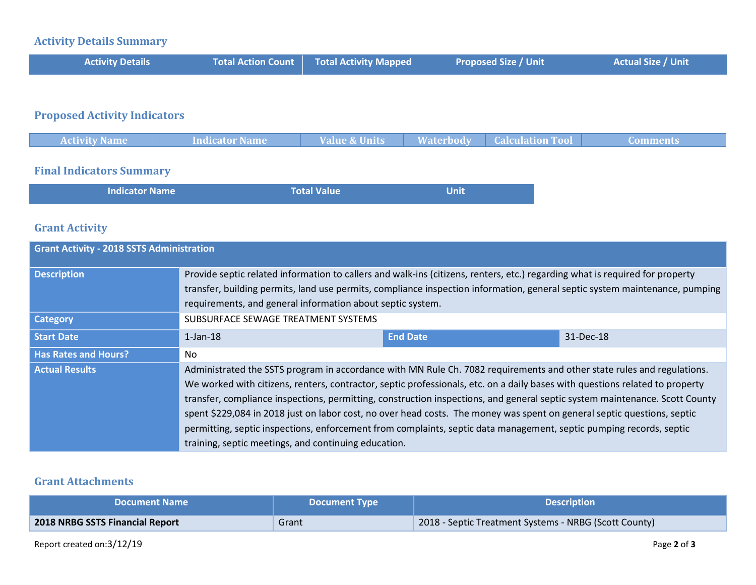# **Activity Details Summary**

| <b>Activity Details</b> | <b>Total Action Count Total Activity Mapped</b> | <b>Proposed Size / Unit</b> | <b>Actual Size / Unit</b> |
|-------------------------|-------------------------------------------------|-----------------------------|---------------------------|
|                         |                                                 |                             |                           |

# **Proposed Activity Indicators**

| <b>Activity Name</b> | Indicator Name | <b>Value &amp; Units</b> | <b>Waterbody</b> | <b>Calculation Tool</b> | Comments. |
|----------------------|----------------|--------------------------|------------------|-------------------------|-----------|
|                      |                |                          |                  |                         |           |

### **Final Indicators Summary**

| <b>Indicator Name</b> | <b>Total Value</b> | Unit <sup>1</sup> |
|-----------------------|--------------------|-------------------|
|                       |                    |                   |

### **Grant Activity**

| <b>Grant Activity - 2018 SSTS Administration</b> |                                                                                                                                                                                                                                                                                                                                                                                                                                                                                                                                                                                                                                                                                                 |                 |           |  |  |
|--------------------------------------------------|-------------------------------------------------------------------------------------------------------------------------------------------------------------------------------------------------------------------------------------------------------------------------------------------------------------------------------------------------------------------------------------------------------------------------------------------------------------------------------------------------------------------------------------------------------------------------------------------------------------------------------------------------------------------------------------------------|-----------------|-----------|--|--|
| <b>Description</b>                               | Provide septic related information to callers and walk-ins (citizens, renters, etc.) regarding what is required for property<br>transfer, building permits, land use permits, compliance inspection information, general septic system maintenance, pumping<br>requirements, and general information about septic system.                                                                                                                                                                                                                                                                                                                                                                       |                 |           |  |  |
| <b>Category</b>                                  | SUBSURFACE SEWAGE TREATMENT SYSTEMS                                                                                                                                                                                                                                                                                                                                                                                                                                                                                                                                                                                                                                                             |                 |           |  |  |
| <b>Start Date</b>                                | $1$ -Jan- $18$                                                                                                                                                                                                                                                                                                                                                                                                                                                                                                                                                                                                                                                                                  | <b>End Date</b> | 31-Dec-18 |  |  |
| <b>Has Rates and Hours?</b>                      | No                                                                                                                                                                                                                                                                                                                                                                                                                                                                                                                                                                                                                                                                                              |                 |           |  |  |
| <b>Actual Results</b>                            | Administrated the SSTS program in accordance with MN Rule Ch. 7082 requirements and other state rules and regulations.<br>We worked with citizens, renters, contractor, septic professionals, etc. on a daily bases with questions related to property<br>transfer, compliance inspections, permitting, construction inspections, and general septic system maintenance. Scott County<br>spent \$229,084 in 2018 just on labor cost, no over head costs. The money was spent on general septic questions, septic<br>permitting, septic inspections, enforcement from complaints, septic data management, septic pumping records, septic<br>training, septic meetings, and continuing education. |                 |           |  |  |

### **Grant Attachments**

| <b>Document Name</b>            | <b>Document Type</b> | <b>Nescription</b>                                    |
|---------------------------------|----------------------|-------------------------------------------------------|
| 2018 NRBG SSTS Financial Report | Grant                | 2018 - Septic Treatment Systems - NRBG (Scott County) |